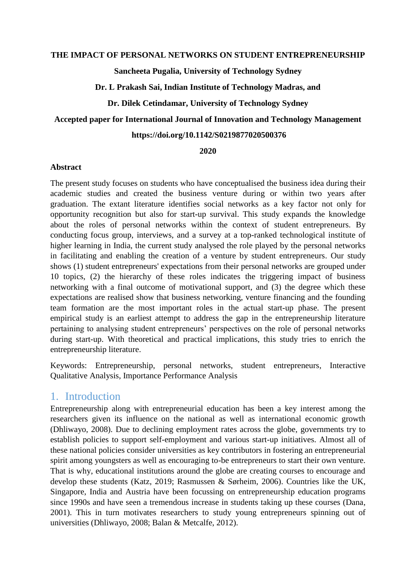#### **THE IMPACT OF PERSONAL NETWORKS ON STUDENT ENTREPRENEURSHIP**

**Sancheeta Pugalia, University of Technology Sydney** 

**Dr. L Prakash Sai, Indian Institute of Technology Madras, and**

**Dr. Dilek Cetindamar, University of Technology Sydney**

#### **Accepted paper for International Journal of Innovation and Technology Management**

#### **https://doi.org/10.1142/S0219877020500376**

#### **2020**

#### **Abstract**

The present study focuses on students who have conceptualised the business idea during their academic studies and created the business venture during or within two years after graduation. The extant literature identifies social networks as a key factor not only for opportunity recognition but also for start-up survival. This study expands the knowledge about the roles of personal networks within the context of student entrepreneurs. By conducting focus group, interviews, and a survey at a top-ranked technological institute of higher learning in India, the current study analysed the role played by the personal networks in facilitating and enabling the creation of a venture by student entrepreneurs. Our study shows (1) student entrepreneurs' expectations from their personal networks are grouped under 10 topics, (2) the hierarchy of these roles indicates the triggering impact of business networking with a final outcome of motivational support, and (3) the degree which these expectations are realised show that business networking, venture financing and the founding team formation are the most important roles in the actual start-up phase. The present empirical study is an earliest attempt to address the gap in the entrepreneurship literature pertaining to analysing student entrepreneurs' perspectives on the role of personal networks during start-up. With theoretical and practical implications, this study tries to enrich the entrepreneurship literature.

Keywords: Entrepreneurship, personal networks, student entrepreneurs, Interactive Qualitative Analysis, Importance Performance Analysis

# 1. Introduction

Entrepreneurship along with entrepreneurial education has been a key interest among the researchers given its influence on the national as well as international economic growth (Dhliwayo, 2008). Due to declining employment rates across the globe, governments try to establish policies to support self-employment and various start-up initiatives. Almost all of these national policies consider universities as key contributors in fostering an entrepreneurial spirit among youngsters as well as encouraging to-be entrepreneurs to start their own venture. That is why, educational institutions around the globe are creating courses to encourage and develop these students (Katz, 2019; Rasmussen & Sørheim, 2006). Countries like the UK, Singapore, India and Austria have been focussing on entrepreneurship education programs since 1990s and have seen a tremendous increase in students taking up these courses (Dana, 2001). This in turn motivates researchers to study young entrepreneurs spinning out of universities (Dhliwayo, 2008; Balan & Metcalfe, 2012).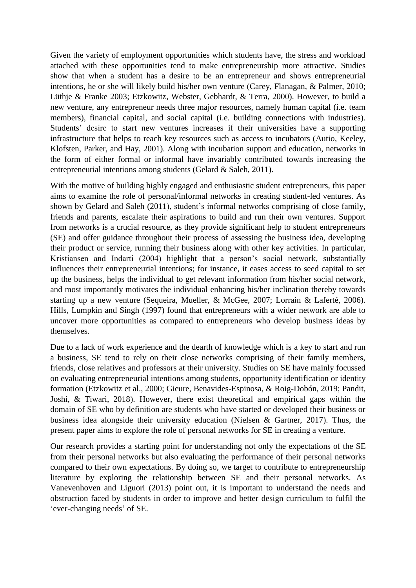Given the variety of employment opportunities which students have, the stress and workload attached with these opportunities tend to make entrepreneurship more attractive. Studies show that when a student has a desire to be an entrepreneur and shows entrepreneurial intentions, he or she will likely build his/her own venture (Carey, Flanagan, & Palmer, 2010; Lüthje & Franke 2003; Etzkowitz, Webster, Gebhardt, & Terra, 2000). However, to build a new venture, any entrepreneur needs three major resources, namely human capital (i.e. team members), financial capital, and social capital (i.e. building connections with industries). Students' desire to start new ventures increases if their universities have a supporting infrastructure that helps to reach key resources such as access to incubators (Autio, Keeley, Klofsten, Parker, and Hay, 2001). Along with incubation support and education, networks in the form of either formal or informal have invariably contributed towards increasing the entrepreneurial intentions among students (Gelard & Saleh, 2011).

With the motive of building highly engaged and enthusiastic student entrepreneurs, this paper aims to examine the role of personal/informal networks in creating student-led ventures. As shown by Gelard and Saleh (2011), student's informal networks comprising of close family, friends and parents, escalate their aspirations to build and run their own ventures. Support from networks is a crucial resource, as they provide significant help to student entrepreneurs (SE) and offer guidance throughout their process of assessing the business idea, developing their product or service, running their business along with other key activities. In particular, Kristiansen and Indarti (2004) highlight that a person's social network, substantially influences their entrepreneurial intentions; for instance, it eases access to seed capital to set up the business, helps the individual to get relevant information from his/her social network, and most importantly motivates the individual enhancing his/her inclination thereby towards starting up a new venture (Sequeira, Mueller, & McGee, 2007; Lorrain & Laferté, 2006). Hills, Lumpkin and Singh (1997) found that entrepreneurs with a wider network are able to uncover more opportunities as compared to entrepreneurs who develop business ideas by themselves.

Due to a lack of work experience and the dearth of knowledge which is a key to start and run a business, SE tend to rely on their close networks comprising of their family members, friends, close relatives and professors at their university. Studies on SE have mainly focussed on evaluating entrepreneurial intentions among students, opportunity identification or identity formation (Etzkowitz et al., 2000; Gieure, Benavides-Espinosa, & Roig-Dobón, 2019; Pandit, Joshi, & Tiwari, 2018). However, there exist theoretical and empirical gaps within the domain of SE who by definition are students who have started or developed their business or business idea alongside their university education (Nielsen & Gartner, 2017). Thus, the present paper aims to explore the role of personal networks for SE in creating a venture.

Our research provides a starting point for understanding not only the expectations of the SE from their personal networks but also evaluating the performance of their personal networks compared to their own expectations. By doing so, we target to contribute to entrepreneurship literature by exploring the relationship between SE and their personal networks. As Vanevenhoven and Liguori (2013) point out, it is important to understand the needs and obstruction faced by students in order to improve and better design curriculum to fulfil the 'ever-changing needs' of SE.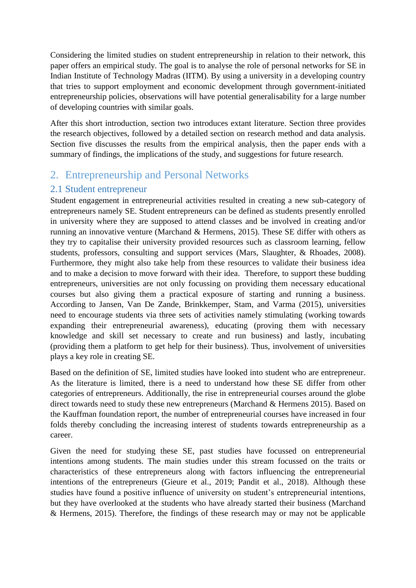Considering the limited studies on student entrepreneurship in relation to their network, this paper offers an empirical study. The goal is to analyse the role of personal networks for SE in Indian Institute of Technology Madras (IITM). By using a university in a developing country that tries to support employment and economic development through government-initiated entrepreneurship policies, observations will have potential generalisability for a large number of developing countries with similar goals.

After this short introduction, section two introduces extant literature. Section three provides the research objectives, followed by a detailed section on research method and data analysis. Section five discusses the results from the empirical analysis, then the paper ends with a summary of findings, the implications of the study, and suggestions for future research.

# 2. Entrepreneurship and Personal Networks

## 2.1 Student entrepreneur

Student engagement in entrepreneurial activities resulted in creating a new sub-category of entrepreneurs namely SE. Student entrepreneurs can be defined as students presently enrolled in university where they are supposed to attend classes and be involved in creating and/or running an innovative venture (Marchand & Hermens, 2015). These SE differ with others as they try to capitalise their university provided resources such as classroom learning, fellow students, professors, consulting and support services (Mars, Slaughter, & Rhoades, 2008). Furthermore, they might also take help from these resources to validate their business idea and to make a decision to move forward with their idea. Therefore, to support these budding entrepreneurs, universities are not only focussing on providing them necessary educational courses but also giving them a practical exposure of starting and running a business. According to Jansen, Van De Zande, Brinkkemper, Stam, and Varma (2015), universities need to encourage students via three sets of activities namely stimulating (working towards expanding their entrepreneurial awareness), educating (proving them with necessary knowledge and skill set necessary to create and run business) and lastly, incubating (providing them a platform to get help for their business). Thus, involvement of universities plays a key role in creating SE.

Based on the definition of SE, limited studies have looked into student who are entrepreneur. As the literature is limited, there is a need to understand how these SE differ from other categories of entrepreneurs. Additionally, the rise in entrepreneurial courses around the globe direct towards need to study these new entrepreneurs (Marchand & Hermens 2015). Based on the Kauffman foundation report, the number of entrepreneurial courses have increased in four folds thereby concluding the increasing interest of students towards entrepreneurship as a career.

Given the need for studying these SE, past studies have focussed on entrepreneurial intentions among students. The main studies under this stream focussed on the traits or characteristics of these entrepreneurs along with factors influencing the entrepreneurial intentions of the entrepreneurs (Gieure et al., 2019; Pandit et al., 2018). Although these studies have found a positive influence of university on student's entrepreneurial intentions, but they have overlooked at the students who have already started their business (Marchand & Hermens, 2015). Therefore, the findings of these research may or may not be applicable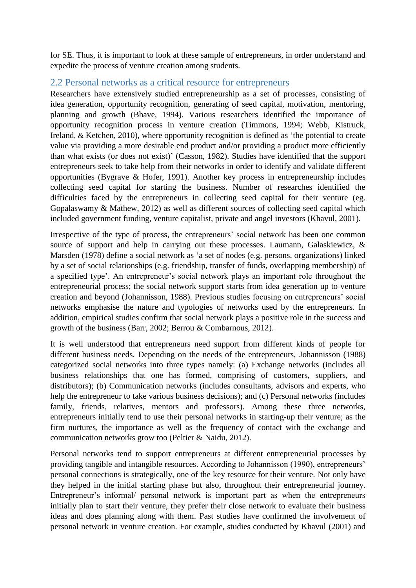for SE. Thus, it is important to look at these sample of entrepreneurs, in order understand and expedite the process of venture creation among students.

### 2.2 Personal networks as a critical resource for entrepreneurs

Researchers have extensively studied entrepreneurship as a set of processes, consisting of idea generation, opportunity recognition, generating of seed capital, motivation, mentoring, planning and growth (Bhave, 1994). Various researchers identified the importance of opportunity recognition process in venture creation (Timmons, 1994; Webb, Kistruck, Ireland, & Ketchen, 2010), where opportunity recognition is defined as 'the potential to create value via providing a more desirable end product and/or providing a product more efficiently than what exists (or does not exist)' (Casson, 1982). Studies have identified that the support entrepreneurs seek to take help from their networks in order to identify and validate different opportunities (Bygrave & Hofer, 1991). Another key process in entrepreneurship includes collecting seed capital for starting the business. Number of researches identified the difficulties faced by the entrepreneurs in collecting seed capital for their venture (eg. Gopalaswamy & Mathew, 2012) as well as different sources of collecting seed capital which included government funding, venture capitalist, private and angel investors (Khavul, 2001).

Irrespective of the type of process, the entrepreneurs' social network has been one common source of support and help in carrying out these processes. Laumann, Galaskiewicz, & Marsden (1978) define a social network as 'a set of nodes (e.g. persons, organizations) linked by a set of social relationships (e.g. friendship, transfer of funds, overlapping membership) of a specified type'. An entrepreneur's social network plays an important role throughout the entrepreneurial process; the social network support starts from idea generation up to venture creation and beyond (Johannisson, 1988). Previous studies focusing on entrepreneurs' social networks emphasise the nature and typologies of networks used by the entrepreneurs. In addition, empirical studies confirm that social network plays a positive role in the success and growth of the business (Barr, 2002; Berrou & Combarnous, 2012).

It is well understood that entrepreneurs need support from different kinds of people for different business needs. Depending on the needs of the entrepreneurs, Johannisson (1988) categorized social networks into three types namely: (a) Exchange networks (includes all business relationships that one has formed, comprising of customers, suppliers, and distributors); (b) Communication networks (includes consultants, advisors and experts, who help the entrepreneur to take various business decisions); and (c) Personal networks (includes family, friends, relatives, mentors and professors). Among these three networks, entrepreneurs initially tend to use their personal networks in starting-up their venture; as the firm nurtures, the importance as well as the frequency of contact with the exchange and communication networks grow too (Peltier & Naidu, 2012).

Personal networks tend to support entrepreneurs at different entrepreneurial processes by providing tangible and intangible resources. According to Johannisson (1990), entrepreneurs' personal connections is strategically, one of the key resource for their venture. Not only have they helped in the initial starting phase but also, throughout their entrepreneurial journey. Entrepreneur's informal/ personal network is important part as when the entrepreneurs initially plan to start their venture, they prefer their close network to evaluate their business ideas and does planning along with them. Past studies have confirmed the involvement of personal network in venture creation. For example, studies conducted by Khavul (2001) and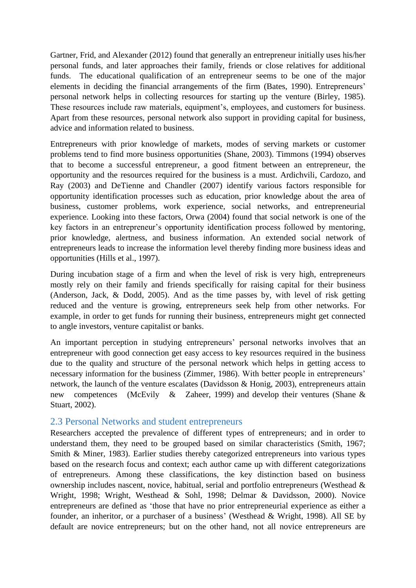Gartner, Frid, and Alexander (2012) found that generally an entrepreneur initially uses his/her personal funds, and later approaches their family, friends or close relatives for additional funds. The educational qualification of an entrepreneur seems to be one of the major elements in deciding the financial arrangements of the firm (Bates, 1990). Entrepreneurs' personal network helps in collecting resources for starting up the venture (Birley, 1985). These resources include raw materials, equipment's, employees, and customers for business. Apart from these resources, personal network also support in providing capital for business, advice and information related to business.

Entrepreneurs with prior knowledge of markets, modes of serving markets or customer problems tend to find more business opportunities (Shane, 2003). Timmons (1994) observes that to become a successful entrepreneur, a good fitment between an entrepreneur, the opportunity and the resources required for the business is a must. Ardichvili, Cardozo, and Ray (2003) and DeTienne and Chandler (2007) identify various factors responsible for opportunity identification processes such as education, prior knowledge about the area of business, customer problems, work experience, social networks, and entrepreneurial experience. Looking into these factors, Orwa (2004) found that social network is one of the key factors in an entrepreneur's opportunity identification process followed by mentoring, prior knowledge, alertness, and business information. An extended social network of entrepreneurs leads to increase the information level thereby finding more business ideas and opportunities (Hills et al., 1997).

During incubation stage of a firm and when the level of risk is very high, entrepreneurs mostly rely on their family and friends specifically for raising capital for their business (Anderson, Jack, & Dodd, 2005). And as the time passes by, with level of risk getting reduced and the venture is growing, entrepreneurs seek help from other networks. For example, in order to get funds for running their business, entrepreneurs might get connected to angle investors, venture capitalist or banks.

An important perception in studying entrepreneurs' personal networks involves that an entrepreneur with good connection get easy access to key resources required in the business due to the quality and structure of the personal network which helps in getting access to necessary information for the business (Zimmer, 1986). With better people in entrepreneurs' network, the launch of the venture escalates (Davidsson & Honig, 2003), entrepreneurs attain new competences (McEvily & Zaheer, 1999) and develop their ventures (Shane & Stuart, 2002).

### 2.3 Personal Networks and student entrepreneurs

Researchers accepted the prevalence of different types of entrepreneurs; and in order to understand them, they need to be grouped based on similar characteristics (Smith, 1967; Smith & Miner, 1983). Earlier studies thereby categorized entrepreneurs into various types based on the research focus and context; each author came up with different categorizations of entrepreneurs. Among these classifications, the key distinction based on business ownership includes nascent, novice, habitual, serial and portfolio entrepreneurs (Westhead & Wright, 1998; Wright, Westhead & Sohl, 1998; Delmar & Davidsson, 2000). Novice entrepreneurs are defined as 'those that have no prior entrepreneurial experience as either a founder, an inheritor, or a purchaser of a business' (Westhead & Wright, 1998). All SE by default are novice entrepreneurs; but on the other hand, not all novice entrepreneurs are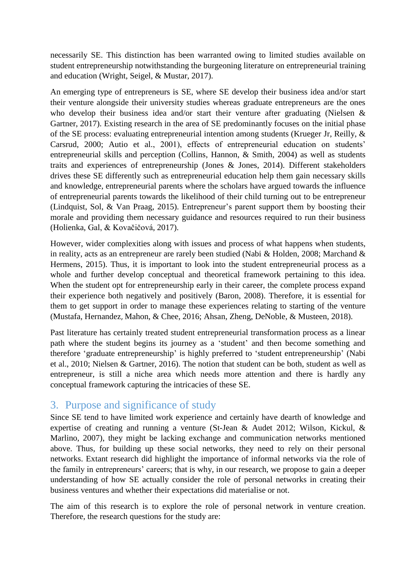necessarily SE. This distinction has been warranted owing to limited studies available on student entrepreneurship notwithstanding the burgeoning literature on entrepreneurial training and education (Wright, Seigel, & Mustar, 2017).

An emerging type of entrepreneurs is SE, where SE develop their business idea and/or start their venture alongside their university studies whereas graduate entrepreneurs are the ones who develop their business idea and/or start their venture after graduating (Nielsen & Gartner, 2017). Existing research in the area of SE predominantly focuses on the initial phase of the SE process: evaluating entrepreneurial intention among students (Krueger Jr, Reilly, & Carsrud, 2000; Autio et al., 2001), effects of entrepreneurial education on students' entrepreneurial skills and perception (Collins, Hannon, & Smith, 2004) as well as students traits and experiences of entrepreneurship (Jones & Jones, 2014). Different stakeholders drives these SE differently such as entrepreneurial education help them gain necessary skills and knowledge, entrepreneurial parents where the scholars have argued towards the influence of entrepreneurial parents towards the likelihood of their child turning out to be entrepreneur (Lindquist, Sol, & Van Praag, 2015). Entrepreneur's parent support them by boosting their morale and providing them necessary guidance and resources required to run their business (Holienka, Gal, & Kovačičová, 2017).

However, wider complexities along with issues and process of what happens when students, in reality, acts as an entrepreneur are rarely been studied (Nabi & Holden, 2008; Marchand & Hermens, 2015). Thus, it is important to look into the student entrepreneurial process as a whole and further develop conceptual and theoretical framework pertaining to this idea. When the student opt for entrepreneurship early in their career, the complete process expand their experience both negatively and positively (Baron, 2008). Therefore, it is essential for them to get support in order to manage these experiences relating to starting of the venture (Mustafa, Hernandez, Mahon, & Chee, 2016; Ahsan, Zheng, DeNoble, & Musteen, 2018).

Past literature has certainly treated student entrepreneurial transformation process as a linear path where the student begins its journey as a 'student' and then become something and therefore 'graduate entrepreneurship' is highly preferred to 'student entrepreneurship' (Nabi et al., 2010; Nielsen & Gartner, 2016). The notion that student can be both, student as well as entrepreneur, is still a niche area which needs more attention and there is hardly any conceptual framework capturing the intricacies of these SE.

# 3. Purpose and significance of study

Since SE tend to have limited work experience and certainly have dearth of knowledge and expertise of creating and running a venture (St-Jean & Audet 2012; Wilson, Kickul, & Marlino, 2007), they might be lacking exchange and communication networks mentioned above. Thus, for building up these social networks, they need to rely on their personal networks. Extant research did highlight the importance of informal networks via the role of the family in entrepreneurs' careers; that is why, in our research, we propose to gain a deeper understanding of how SE actually consider the role of personal networks in creating their business ventures and whether their expectations did materialise or not.

The aim of this research is to explore the role of personal network in venture creation. Therefore, the research questions for the study are: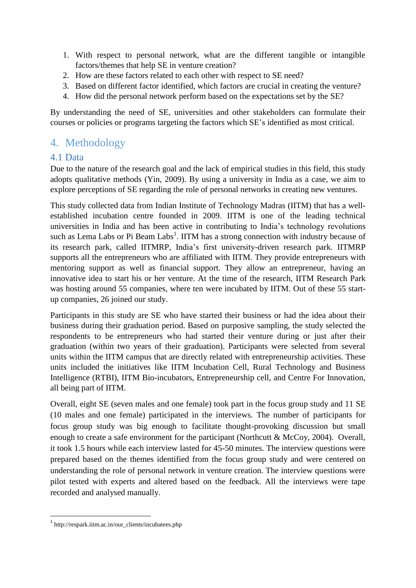- 1. With respect to personal network, what are the different tangible or intangible factors/themes that help SE in venture creation?
- 2. How are these factors related to each other with respect to SE need?
- 3. Based on different factor identified, which factors are crucial in creating the venture?
- 4. How did the personal network perform based on the expectations set by the SE?

By understanding the need of SE, universities and other stakeholders can formulate their courses or policies or programs targeting the factors which SE's identified as most critical.

# 4. Methodology

## 4.1 Data

Due to the nature of the research goal and the lack of empirical studies in this field, this study adopts qualitative methods (Yin, 2009). By using a university in India as a case, we aim to explore perceptions of SE regarding the role of personal networks in creating new ventures.

This study collected data from Indian Institute of Technology Madras (IITM) that has a wellestablished incubation centre founded in 2009. IITM is one of the leading technical universities in India and has been active in contributing to India's technology revolutions such as Lema Labs or Pi Beam Labs<sup>1</sup>. IITM has a strong connection with industry because of its research park, called IITMRP, India's first university-driven research park. IITMRP supports all the entrepreneurs who are affiliated with IITM. They provide entrepreneurs with mentoring support as well as financial support. They allow an entrepreneur, having an innovative idea to start his or her venture. At the time of the research, IITM Research Park was hosting around 55 companies, where ten were incubated by IITM. Out of these 55 startup companies, 26 joined our study.

Participants in this study are SE who have started their business or had the idea about their business during their graduation period. Based on purposive sampling, the study selected the respondents to be entrepreneurs who had started their venture during or just after their graduation (within two years of their graduation). Participants were selected from several units within the IITM campus that are directly related with entrepreneurship activities. These units included the initiatives like IITM Incubation Cell, Rural Technology and Business Intelligence (RTBI), IITM Bio-incubators, Entrepreneurship cell, and Centre For Innovation, all being part of IITM.

Overall, eight SE (seven males and one female) took part in the focus group study and 11 SE (10 males and one female) participated in the interviews. The number of participants for focus group study was big enough to facilitate thought-provoking discussion but small enough to create a safe environment for the participant (Northcutt & McCoy, 2004). Overall, it took 1.5 hours while each interview lasted for 45-50 minutes. The interview questions were prepared based on the themes identified from the focus group study and were centered on understanding the role of personal network in venture creation. The interview questions were pilot tested with experts and altered based on the feedback. All the interviews were tape recorded and analysed manually.

**.** 

<sup>1</sup> http://respark.iitm.ac.in/our\_clients/incubatees.php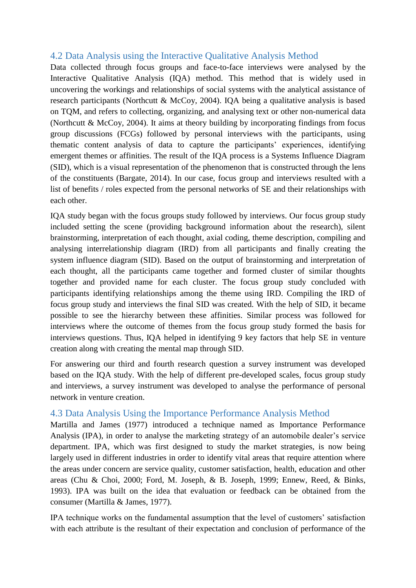## 4.2 Data Analysis using the Interactive Qualitative Analysis Method

Data collected through focus groups and face-to-face interviews were analysed by the Interactive Qualitative Analysis (IQA) method. This method that is widely used in uncovering the workings and relationships of social systems with the analytical assistance of research participants (Northcutt & McCoy, 2004). IQA being a qualitative analysis is based on TQM, and refers to collecting, organizing, and analysing text or other non-numerical data (Northcutt & McCoy, 2004). It aims at theory building by incorporating findings from focus group discussions (FCGs) followed by personal interviews with the participants, using thematic content analysis of data to capture the participants' experiences, identifying emergent themes or affinities. The result of the IQA process is a Systems Influence Diagram (SID), which is a visual representation of the phenomenon that is constructed through the lens of the constituents (Bargate, 2014). In our case, focus group and interviews resulted with a list of benefits / roles expected from the personal networks of SE and their relationships with each other.

IQA study began with the focus groups study followed by interviews. Our focus group study included setting the scene (providing background information about the research), silent brainstorming, interpretation of each thought, axial coding, theme description, compiling and analysing interrelationship diagram (IRD) from all participants and finally creating the system influence diagram (SID). Based on the output of brainstorming and interpretation of each thought, all the participants came together and formed cluster of similar thoughts together and provided name for each cluster. The focus group study concluded with participants identifying relationships among the theme using IRD. Compiling the IRD of focus group study and interviews the final SID was created. With the help of SID, it became possible to see the hierarchy between these affinities. Similar process was followed for interviews where the outcome of themes from the focus group study formed the basis for interviews questions. Thus, IQA helped in identifying 9 key factors that help SE in venture creation along with creating the mental map through SID.

For answering our third and fourth research question a survey instrument was developed based on the IQA study. With the help of different pre-developed scales, focus group study and interviews, a survey instrument was developed to analyse the performance of personal network in venture creation.

## 4.3 Data Analysis Using the Importance Performance Analysis Method

Martilla and James (1977) introduced a technique named as Importance Performance Analysis (IPA), in order to analyse the marketing strategy of an automobile dealer's service department. IPA, which was first designed to study the market strategies, is now being largely used in different industries in order to identify vital areas that require attention where the areas under concern are service quality, customer satisfaction, health, education and other areas (Chu & Choi, 2000; Ford, M. Joseph, & B. Joseph, 1999; Ennew, Reed, & Binks, 1993). IPA was built on the idea that evaluation or feedback can be obtained from the consumer (Martilla & James, 1977).

IPA technique works on the fundamental assumption that the level of customers' satisfaction with each attribute is the resultant of their expectation and conclusion of performance of the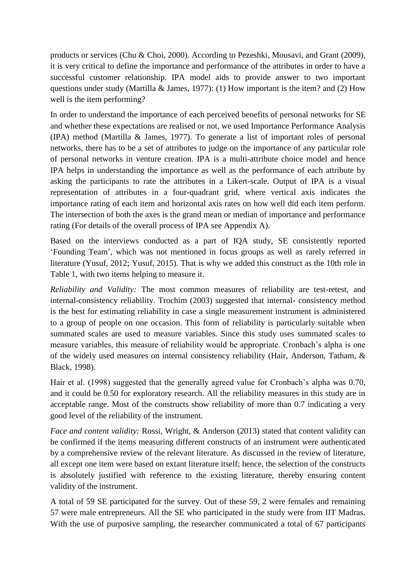products or services (Chu & Choi, 2000). According to Pezeshki, Mousavi, and Grant (2009), it is very critical to define the importance and performance of the attributes in order to have a successful customer relationship. IPA model aids to provide answer to two important questions under study (Martilla & James, 1977): (1) How important is the item? and (2) How well is the item performing?

In order to understand the importance of each perceived benefits of personal networks for SE and whether these expectations are realised or not, we used Importance Performance Analysis (IPA) method (Martilla & James, 1977). To generate a list of important roles of personal networks, there has to be a set of attributes to judge on the importance of any particular role of personal networks in venture creation. IPA is a multi-attribute choice model and hence IPA helps in understanding the importance as well as the performance of each attribute by asking the participants to rate the attributes in a Likert-scale. Output of IPA is a visual representation of attributes in a four-quadrant grid, where vertical axis indicates the importance rating of each item and horizontal axis rates on how well did each item perform. The intersection of both the axes is the grand mean or median of importance and performance rating (For details of the overall process of IPA see Appendix A).

Based on the interviews conducted as a part of IQA study, SE consistently reported 'Founding Team', which was not mentioned in focus groups as well as rarely referred in literature (Yusuf, 2012; Yusuf, 2015). That is why we added this construct as the 10th role in Table 1, with two items helping to measure it.

*Reliability and Validity:* The most common measures of reliability are test-retest, and internal-consistency reliability. Trochim (2003) suggested that internal- consistency method is the best for estimating reliability in case a single measurement instrument is administered to a group of people on one occasion. This form of reliability is particularly suitable when summated scales are used to measure variables. Since this study uses summated scales to measure variables, this measure of reliability would be appropriate. Cronbach's alpha is one of the widely used measures on internal consistency reliability (Hair, Anderson, Tatham, & Black, 1998).

Hair et al. (1998) suggested that the generally agreed value for Cronbach's alpha was 0.70, and it could be 0.50 for exploratory research. All the reliability measures in this study are in acceptable range. Most of the constructs show reliability of more than 0.7 indicating a very good level of the reliability of the instrument.

*Face and content validity:* Rossi, Wright, & Anderson (2013) stated that content validity can be confirmed if the items measuring different constructs of an instrument were authenticated by a comprehensive review of the relevant literature. As discussed in the review of literature, all except one item were based on extant literature itself; hence, the selection of the constructs is absolutely justified with reference to the existing literature, thereby ensuring content validity of the instrument.

A total of 59 SE participated for the survey. Out of these 59, 2 were females and remaining 57 were male entrepreneurs. All the SE who participated in the study were from IIT Madras. With the use of purposive sampling, the researcher communicated a total of 67 participants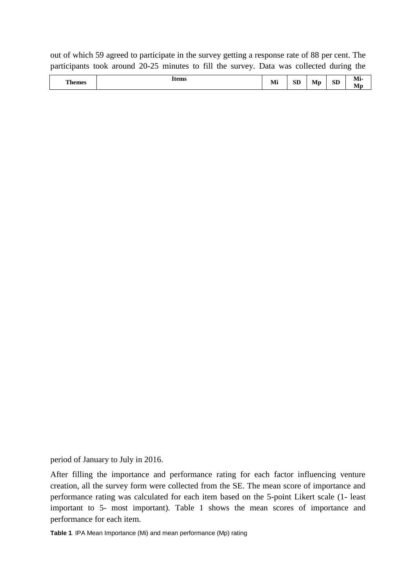out of which 59 agreed to participate in the survey getting a response rate of 88 per cent. The participants took around 20-25 minutes to fill the survey. Data was collected during the

|  | Themes | <b>Items</b> | <b>B</b> <i>A</i> 2<br><b>TATT</b> | α'n<br>עפ | Mn | <b>SD</b><br>__ | --<br>M1-<br>IV. |
|--|--------|--------------|------------------------------------|-----------|----|-----------------|------------------|
|--|--------|--------------|------------------------------------|-----------|----|-----------------|------------------|

period of January to July in 2016.

After filling the importance and performance rating for each factor influencing venture creation, all the survey form were collected from the SE. The mean score of importance and performance rating was calculated for each item based on the 5-point Likert scale (1- least important to 5- most important). Table 1 shows the mean scores of importance and performance for each item.

**Table 1***.* IPA Mean Importance (Mi) and mean performance (Mp) rating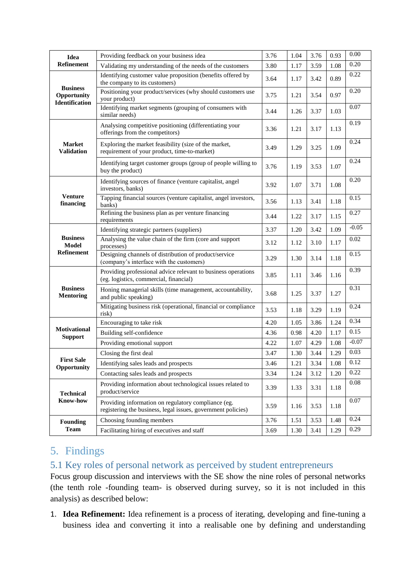| Idea                                  | Providing feedback on your business idea                                                                            | 3.76 | 1.04 | 3.76 | 0.93 | 0.00         |
|---------------------------------------|---------------------------------------------------------------------------------------------------------------------|------|------|------|------|--------------|
| Refinement                            | Validating my understanding of the needs of the customers                                                           | 3.80 | 1.17 | 3.59 | 1.08 | 0.20         |
| <b>Business</b>                       | Identifying customer value proposition (benefits offered by<br>the company to its customers)                        | 3.64 | 1.17 | 3.42 | 0.89 | 0.22         |
| Opportunity<br><b>Identification</b>  | Positioning your product/services (why should customers use<br>your product)                                        | 3.75 | 1.21 | 3.54 | 0.97 | 0.20         |
|                                       | Identifying market segments (grouping of consumers with<br>similar needs)                                           | 3.44 | 1.26 | 3.37 | 1.03 | 0.07         |
|                                       | Analysing competitive positioning (differentiating your<br>offerings from the competitors)                          | 3.36 | 1.21 | 3.17 | 1.13 | 0.19         |
| <b>Market</b><br><b>Validation</b>    | Exploring the market feasibility (size of the market,<br>requirement of your product, time-to-market)               | 3.49 | 1.29 | 3.25 | 1.09 | 0.24         |
|                                       | Identifying target customer groups (group of people willing to<br>buy the product)                                  | 3.76 | 1.19 | 3.53 | 1.07 | 0.24         |
|                                       | Identifying sources of finance (venture capitalist, angel<br>investors, banks)                                      | 3.92 | 1.07 | 3.71 | 1.08 | 0.20         |
| <b>Venture</b><br>financing           | Tapping financial sources (venture capitalist, angel investors,<br>banks)                                           | 3.56 | 1.13 | 3.41 | 1.18 | 0.15         |
|                                       | Refining the business plan as per venture financing<br>requirements                                                 | 3.44 | 1.22 | 3.17 | 1.15 | 0.27         |
| <b>Business</b><br><b>Model</b>       | Identifying strategic partners (suppliers)                                                                          | 3.37 | 1.20 | 3.42 | 1.09 | $-0.05$      |
|                                       | Analysing the value chain of the firm (core and support<br>processes)                                               | 3.12 | 1.12 | 3.10 | 1.17 | 0.02         |
| <b>Refinement</b>                     | Designing channels of distribution of product/service<br>(company's interface with the customers)                   | 3.29 | 1.30 | 3.14 | 1.18 | 0.15         |
|                                       | Providing professional advice relevant to business operations<br>(eg. logistics, commercial, financial)             | 3.85 | 1.11 | 3.46 | 1.16 | 0.39         |
| <b>Business</b><br><b>Mentoring</b>   | Honing managerial skills (time management, accountability,<br>and public speaking)                                  | 3.68 | 1.25 | 3.37 | 1.27 | 0.31         |
|                                       | Mitigating business risk (operational, financial or compliance<br>risk)                                             | 3.53 | 1.18 | 3.29 | 1.19 | 0.24         |
| <b>Motivational</b><br><b>Support</b> | Encouraging to take risk                                                                                            | 4.20 | 1.05 | 3.86 | 1.24 | 0.34         |
|                                       | Building self-confidence                                                                                            | 4.36 | 0.98 | 4.20 | 1.17 | 0.15         |
|                                       | Providing emotional support                                                                                         | 4.22 | 1.07 | 4.29 | 1.08 | $-0.07$      |
| <b>First Sale</b><br>Opportunity      | Closing the first deal                                                                                              | 3.47 | 1.30 | 3.44 | 1.29 | 0.03<br>0.12 |
|                                       | Identifying sales leads and prospects                                                                               | 3.46 | 1.21 | 3.34 | 1.08 |              |
|                                       | Contacting sales leads and prospects                                                                                | 3.34 | 1.24 | 3.12 | 1.20 | 0.22<br>0.08 |
| <b>Technical</b>                      | Providing information about technological issues related to<br>product/service                                      | 3.39 | 1.33 | 3.31 | 1.18 |              |
| <b>Know-how</b>                       | Providing information on regulatory compliance (eg.<br>registering the business, legal issues, government policies) | 3.59 | 1.16 | 3.53 | 1.18 | 0.07         |
| <b>Founding</b>                       | Choosing founding members                                                                                           | 3.76 | 1.51 | 3.53 | 1.48 | 0.24         |
| <b>Team</b>                           | Facilitating hiring of executives and staff                                                                         | 3.69 | 1.30 | 3.41 | 1.29 | 0.29         |

# 5. Findings

## 5.1 Key roles of personal network as perceived by student entrepreneurs

Focus group discussion and interviews with the SE show the nine roles of personal networks (the tenth role -founding team- is observed during survey, so it is not included in this analysis) as described below:

1. **Idea Refinement:** Idea refinement is a process of iterating, developing and fine-tuning a business idea and converting it into a realisable one by defining and understanding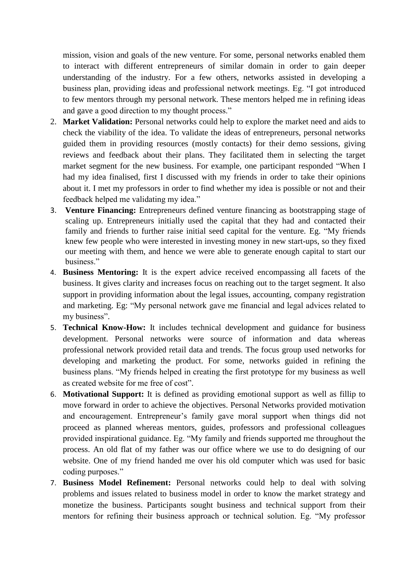mission, vision and goals of the new venture. For some, personal networks enabled them to interact with different entrepreneurs of similar domain in order to gain deeper understanding of the industry. For a few others, networks assisted in developing a business plan, providing ideas and professional network meetings. Eg. "I got introduced to few mentors through my personal network. These mentors helped me in refining ideas and gave a good direction to my thought process."

- 2. **Market Validation:** Personal networks could help to explore the market need and aids to check the viability of the idea. To validate the ideas of entrepreneurs, personal networks guided them in providing resources (mostly contacts) for their demo sessions, giving reviews and feedback about their plans. They facilitated them in selecting the target market segment for the new business. For example, one participant responded "When I had my idea finalised, first I discussed with my friends in order to take their opinions about it. I met my professors in order to find whether my idea is possible or not and their feedback helped me validating my idea."
- 3. **Venture Financing:** Entrepreneurs defined venture financing as bootstrapping stage of scaling up. Entrepreneurs initially used the capital that they had and contacted their family and friends to further raise initial seed capital for the venture. Eg. "My friends knew few people who were interested in investing money in new start-ups, so they fixed our meeting with them, and hence we were able to generate enough capital to start our business."
- 4. **Business Mentoring:** It is the expert advice received encompassing all facets of the business. It gives clarity and increases focus on reaching out to the target segment. It also support in providing information about the legal issues, accounting, company registration and marketing. Eg: "My personal network gave me financial and legal advices related to my business".
- 5. **Technical Know-How:** It includes technical development and guidance for business development. Personal networks were source of information and data whereas professional network provided retail data and trends. The focus group used networks for developing and marketing the product. For some, networks guided in refining the business plans. "My friends helped in creating the first prototype for my business as well as created website for me free of cost".
- 6. **Motivational Support:** It is defined as providing emotional support as well as fillip to move forward in order to achieve the objectives. Personal Networks provided motivation and encouragement. Entrepreneur's family gave moral support when things did not proceed as planned whereas mentors, guides, professors and professional colleagues provided inspirational guidance. Eg. "My family and friends supported me throughout the process. An old flat of my father was our office where we use to do designing of our website. One of my friend handed me over his old computer which was used for basic coding purposes."
- 7. **Business Model Refinement:** Personal networks could help to deal with solving problems and issues related to business model in order to know the market strategy and monetize the business. Participants sought business and technical support from their mentors for refining their business approach or technical solution. Eg. "My professor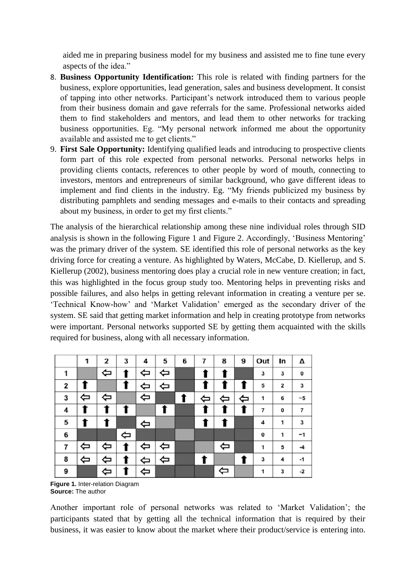aided me in preparing business model for my business and assisted me to fine tune every aspects of the idea."

- 8. **Business Opportunity Identification:** This role is related with finding partners for the business, explore opportunities, lead generation, sales and business development. It consist of tapping into other networks. Participant's network introduced them to various people from their business domain and gave referrals for the same. Professional networks aided them to find stakeholders and mentors, and lead them to other networks for tracking business opportunities. Eg. "My personal network informed me about the opportunity available and assisted me to get clients."
- 9. **First Sale Opportunity:** Identifying qualified leads and introducing to prospective clients form part of this role expected from personal networks. Personal networks helps in providing clients contacts, references to other people by word of mouth, connecting to investors, mentors and entrepreneurs of similar background, who gave different ideas to implement and find clients in the industry. Eg. "My friends publicized my business by distributing pamphlets and sending messages and e-mails to their contacts and spreading about my business, in order to get my first clients."

The analysis of the hierarchical relationship among these nine individual roles through SID analysis is shown in the following Figure 1 and Figure 2. Accordingly, 'Business Mentoring' was the primary driver of the system. SE identified this role of personal networks as the key driving force for creating a venture. As highlighted by Waters, McCabe, D. Kiellerup, and S. Kiellerup (2002), business mentoring does play a crucial role in new venture creation; in fact, this was highlighted in the focus group study too. Mentoring helps in preventing risks and possible failures, and also helps in getting relevant information in creating a venture per se. 'Technical Know-how' and 'Market Validation' emerged as the secondary driver of the system. SE said that getting market information and help in creating prototype from networks were important. Personal networks supported SE by getting them acquainted with the skills required for business, along with all necessary information.

|   | 1                 | 2 | 3 | 4 | 5 | 6 | 7 | 8 | 9 | Out | In | Δ  |
|---|-------------------|---|---|---|---|---|---|---|---|-----|----|----|
| 1 |                   | ⇦ |   | ⇦ | ⇦ |   |   |   |   | 3   | 3  | 0  |
| 2 |                   |   |   | ⇔ | ⇦ |   |   |   |   | 5   | 2  | 3  |
| 3 | ⇦                 | ⇦ |   | ⇦ |   |   | ⇐ | ⇦ | ⇦ | 1   | 6  | -5 |
| 4 |                   |   |   |   | T |   |   |   |   | 7   | 0  | 7  |
| 5 |                   |   |   | ⇔ |   |   |   |   |   | 4   | 1  | 3  |
| 6 |                   |   | ⇦ |   |   |   |   |   |   | 0   | 1  | -1 |
| 7 | $\Leftrightarrow$ | ⇦ |   | ⇦ | ⇦ |   |   | ⇦ |   | 1   | 5  | -4 |
| 8 | ⇦                 |   |   | ⇦ | ⇦ |   |   |   | t | 3   | 4  | -1 |
| 9 |                   | ⇦ |   | ⇦ |   |   |   | ⇦ |   | 1   | 3  | -2 |

**Figure 1.** Inter-relation Diagram **Source:** The author

Another important role of personal networks was related to 'Market Validation'; the participants stated that by getting all the technical information that is required by their business, it was easier to know about the market where their product/service is entering into.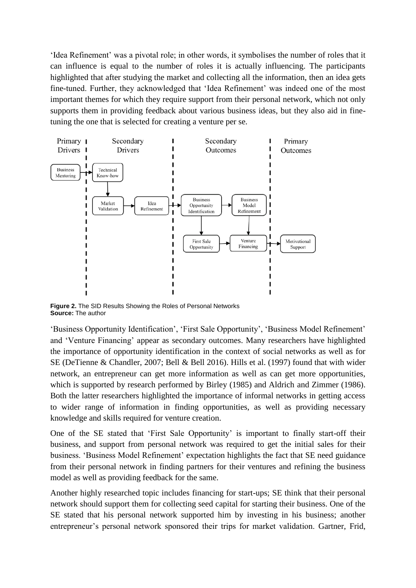'Idea Refinement' was a pivotal role; in other words, it symbolises the number of roles that it can influence is equal to the number of roles it is actually influencing. The participants highlighted that after studying the market and collecting all the information, then an idea gets fine-tuned. Further, they acknowledged that 'Idea Refinement' was indeed one of the most important themes for which they require support from their personal network, which not only supports them in providing feedback about various business ideas, but they also aid in finetuning the one that is selected for creating a venture per se.



**Figure 2.** The SID Results Showing the Roles of Personal Networks **Source:** The author

'Business Opportunity Identification', 'First Sale Opportunity', 'Business Model Refinement' and 'Venture Financing' appear as secondary outcomes. Many researchers have highlighted the importance of opportunity identification in the context of social networks as well as for SE (DeTienne & Chandler, 2007; Bell & Bell 2016). Hills et al. (1997) found that with wider network, an entrepreneur can get more information as well as can get more opportunities, which is supported by research performed by Birley (1985) and Aldrich and Zimmer (1986). Both the latter researchers highlighted the importance of informal networks in getting access to wider range of information in finding opportunities, as well as providing necessary knowledge and skills required for venture creation.

One of the SE stated that 'First Sale Opportunity' is important to finally start-off their business, and support from personal network was required to get the initial sales for their business. 'Business Model Refinement' expectation highlights the fact that SE need guidance from their personal network in finding partners for their ventures and refining the business model as well as providing feedback for the same.

Another highly researched topic includes financing for start-ups; SE think that their personal network should support them for collecting seed capital for starting their business. One of the SE stated that his personal network supported him by investing in his business; another entrepreneur's personal network sponsored their trips for market validation. Gartner, Frid,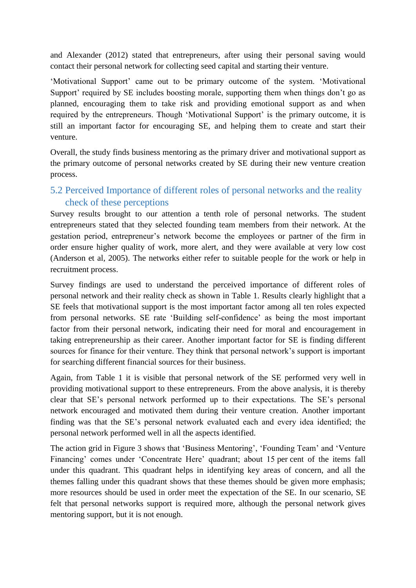and Alexander (2012) stated that entrepreneurs, after using their personal saving would contact their personal network for collecting seed capital and starting their venture.

'Motivational Support' came out to be primary outcome of the system. 'Motivational Support' required by SE includes boosting morale, supporting them when things don't go as planned, encouraging them to take risk and providing emotional support as and when required by the entrepreneurs. Though 'Motivational Support' is the primary outcome, it is still an important factor for encouraging SE, and helping them to create and start their venture.

Overall, the study finds business mentoring as the primary driver and motivational support as the primary outcome of personal networks created by SE during their new venture creation process.

# 5.2 Perceived Importance of different roles of personal networks and the reality check of these perceptions

Survey results brought to our attention a tenth role of personal networks. The student entrepreneurs stated that they selected founding team members from their network. At the gestation period, entrepreneur's network become the employees or partner of the firm in order ensure higher quality of work, more alert, and they were available at very low cost (Anderson et al, 2005). The networks either refer to suitable people for the work or help in recruitment process.

Survey findings are used to understand the perceived importance of different roles of personal network and their reality check as shown in Table 1. Results clearly highlight that a SE feels that motivational support is the most important factor among all ten roles expected from personal networks. SE rate 'Building self-confidence' as being the most important factor from their personal network, indicating their need for moral and encouragement in taking entrepreneurship as their career. Another important factor for SE is finding different sources for finance for their venture. They think that personal network's support is important for searching different financial sources for their business.

Again, from Table 1 it is visible that personal network of the SE performed very well in providing motivational support to these entrepreneurs. From the above analysis, it is thereby clear that SE's personal network performed up to their expectations. The SE's personal network encouraged and motivated them during their venture creation. Another important finding was that the SE's personal network evaluated each and every idea identified; the personal network performed well in all the aspects identified.

The action grid in Figure 3 shows that 'Business Mentoring', 'Founding Team' and 'Venture Financing' comes under 'Concentrate Here' quadrant; about 15 per cent of the items fall under this quadrant. This quadrant helps in identifying key areas of concern, and all the themes falling under this quadrant shows that these themes should be given more emphasis; more resources should be used in order meet the expectation of the SE. In our scenario, SE felt that personal networks support is required more, although the personal network gives mentoring support, but it is not enough.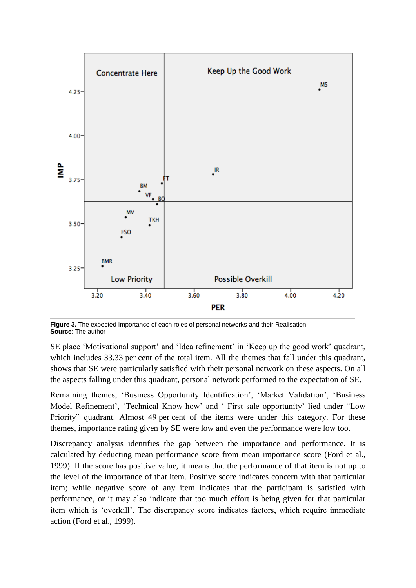

**Figure 3.** The expected Importance of each roles of personal networks and their Realisation **Source**: The author

SE place 'Motivational support' and 'Idea refinement' in 'Keep up the good work' quadrant, which includes 33.33 per cent of the total item. All the themes that fall under this quadrant, shows that SE were particularly satisfied with their personal network on these aspects. On all the aspects falling under this quadrant, personal network performed to the expectation of SE.

Remaining themes, 'Business Opportunity Identification', 'Market Validation', 'Business Model Refinement', 'Technical Know-how' and ' First sale opportunity' lied under "Low Priority" quadrant. Almost 49 per cent of the items were under this category. For these themes, importance rating given by SE were low and even the performance were low too.

Discrepancy analysis identifies the gap between the importance and performance. It is calculated by deducting mean performance score from mean importance score (Ford et al., 1999). If the score has positive value, it means that the performance of that item is not up to the level of the importance of that item. Positive score indicates concern with that particular item; while negative score of any item indicates that the participant is satisfied with performance, or it may also indicate that too much effort is being given for that particular item which is 'overkill'. The discrepancy score indicates factors, which require immediate action (Ford et al., 1999).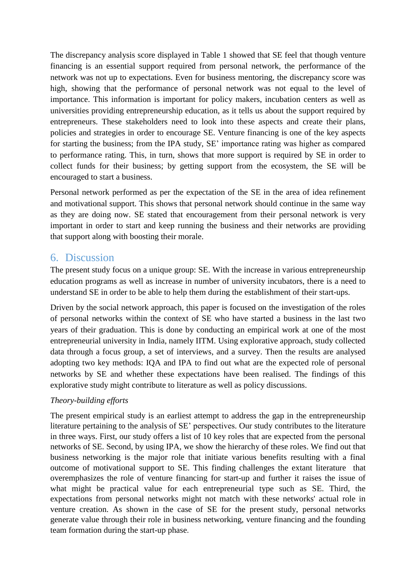The discrepancy analysis score displayed in Table 1 showed that SE feel that though venture financing is an essential support required from personal network, the performance of the network was not up to expectations. Even for business mentoring, the discrepancy score was high, showing that the performance of personal network was not equal to the level of importance. This information is important for policy makers, incubation centers as well as universities providing entrepreneurship education, as it tells us about the support required by entrepreneurs. These stakeholders need to look into these aspects and create their plans, policies and strategies in order to encourage SE. Venture financing is one of the key aspects for starting the business; from the IPA study, SE' importance rating was higher as compared to performance rating. This, in turn, shows that more support is required by SE in order to collect funds for their business; by getting support from the ecosystem, the SE will be encouraged to start a business.

Personal network performed as per the expectation of the SE in the area of idea refinement and motivational support. This shows that personal network should continue in the same way as they are doing now. SE stated that encouragement from their personal network is very important in order to start and keep running the business and their networks are providing that support along with boosting their morale.

## 6. Discussion

The present study focus on a unique group: SE. With the increase in various entrepreneurship education programs as well as increase in number of university incubators, there is a need to understand SE in order to be able to help them during the establishment of their start-ups.

Driven by the social network approach, this paper is focused on the investigation of the roles of personal networks within the context of SE who have started a business in the last two years of their graduation. This is done by conducting an empirical work at one of the most entrepreneurial university in India, namely IITM. Using explorative approach, study collected data through a focus group, a set of interviews, and a survey. Then the results are analysed adopting two key methods: IQA and IPA to find out what are the expected role of personal networks by SE and whether these expectations have been realised. The findings of this explorative study might contribute to literature as well as policy discussions.

## *Theory-building efforts*

The present empirical study is an earliest attempt to address the gap in the entrepreneurship literature pertaining to the analysis of SE' perspectives. Our study contributes to the literature in three ways. First, our study offers a list of 10 key roles that are expected from the personal networks of SE. Second, by using IPA, we show the hierarchy of these roles. We find out that business networking is the major role that initiate various benefits resulting with a final outcome of motivational support to SE. This finding challenges the extant literature that overemphasizes the role of venture financing for start-up and further it raises the issue of what might be practical value for each entrepreneurial type such as SE. Third, the expectations from personal networks might not match with these networks' actual role in venture creation. As shown in the case of SE for the present study, personal networks generate value through their role in business networking, venture financing and the founding team formation during the start-up phase.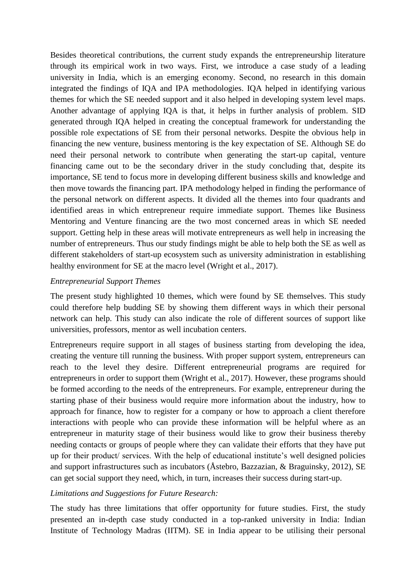Besides theoretical contributions, the current study expands the entrepreneurship literature through its empirical work in two ways. First, we introduce a case study of a leading university in India, which is an emerging economy. Second, no research in this domain integrated the findings of IQA and IPA methodologies. IQA helped in identifying various themes for which the SE needed support and it also helped in developing system level maps. Another advantage of applying IQA is that, it helps in further analysis of problem. SID generated through IQA helped in creating the conceptual framework for understanding the possible role expectations of SE from their personal networks. Despite the obvious help in financing the new venture, business mentoring is the key expectation of SE. Although SE do need their personal network to contribute when generating the start-up capital, venture financing came out to be the secondary driver in the study concluding that, despite its importance, SE tend to focus more in developing different business skills and knowledge and then move towards the financing part. IPA methodology helped in finding the performance of the personal network on different aspects. It divided all the themes into four quadrants and identified areas in which entrepreneur require immediate support. Themes like Business Mentoring and Venture financing are the two most concerned areas in which SE needed support. Getting help in these areas will motivate entrepreneurs as well help in increasing the number of entrepreneurs. Thus our study findings might be able to help both the SE as well as different stakeholders of start-up ecosystem such as university administration in establishing healthy environment for SE at the macro level (Wright et al., 2017).

### *Entrepreneurial Support Themes*

The present study highlighted 10 themes, which were found by SE themselves. This study could therefore help budding SE by showing them different ways in which their personal network can help. This study can also indicate the role of different sources of support like universities, professors, mentor as well incubation centers.

Entrepreneurs require support in all stages of business starting from developing the idea, creating the venture till running the business. With proper support system, entrepreneurs can reach to the level they desire. Different entrepreneurial programs are required for entrepreneurs in order to support them (Wright et al., 2017). However, these programs should be formed according to the needs of the entrepreneurs. For example, entrepreneur during the starting phase of their business would require more information about the industry, how to approach for finance, how to register for a company or how to approach a client therefore interactions with people who can provide these information will be helpful where as an entrepreneur in maturity stage of their business would like to grow their business thereby needing contacts or groups of people where they can validate their efforts that they have put up for their product/ services. With the help of educational institute's well designed policies and support infrastructures such as incubators (Åstebro, Bazzazian, & Braguinsky, 2012), SE can get social support they need, which, in turn, increases their success during start-up.

### *Limitations and Suggestions for Future Research:*

The study has three limitations that offer opportunity for future studies. First, the study presented an in-depth case study conducted in a top-ranked university in India: Indian Institute of Technology Madras (IITM). SE in India appear to be utilising their personal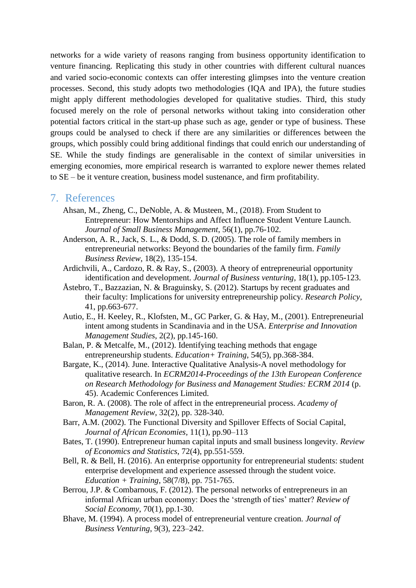networks for a wide variety of reasons ranging from business opportunity identification to venture financing. Replicating this study in other countries with different cultural nuances and varied socio-economic contexts can offer interesting glimpses into the venture creation processes. Second, this study adopts two methodologies (IQA and IPA), the future studies might apply different methodologies developed for qualitative studies. Third, this study focused merely on the role of personal networks without taking into consideration other potential factors critical in the start-up phase such as age, gender or type of business. These groups could be analysed to check if there are any similarities or differences between the groups, which possibly could bring additional findings that could enrich our understanding of SE. While the study findings are generalisable in the context of similar universities in emerging economies, more empirical research is warranted to explore newer themes related to SE – be it venture creation, business model sustenance, and firm profitability.

#### 7. References

- Ahsan, M., Zheng, C., DeNoble, A. & Musteen, M., (2018). From Student to Entrepreneur: How Mentorships and Affect Influence Student Venture Launch. *Journal of Small Business Management*, 56(1), pp.76-102.
- Anderson, A. R., Jack, S. L., & Dodd, S. D. (2005). The role of family members in entrepreneurial networks: Beyond the boundaries of the family firm. *Family Business Review*, 18(2), 135-154.
- Ardichvili, A., Cardozo, R. & Ray, S., (2003). A theory of entrepreneurial opportunity identification and development. *Journal of Business venturing*, 18(1), pp.105-123.
- Åstebro, T., Bazzazian, N. & Braguinsky, S. (2012). Startups by recent graduates and their faculty: Implications for university entrepreneurship policy. *Research Policy*, 41, pp.663-677.
- Autio, E., H. Keeley, R., Klofsten, M., GC Parker, G. & Hay, M., (2001). Entrepreneurial intent among students in Scandinavia and in the USA. *Enterprise and Innovation Management Studies*, 2(2), pp.145-160.
- Balan, P. & Metcalfe, M., (2012). Identifying teaching methods that engage entrepreneurship students. *Education+ Training*, 54(5), pp.368-384.
- Bargate, K., (2014). June. Interactive Qualitative Analysis-A novel methodology for qualitative research. In *ECRM2014-Proceedings of the 13th European Conference on Research Methodology for Business and Management Studies: ECRM 2014* (p. 45). Academic Conferences Limited.
- Baron, R. A. (2008). The role of affect in the entrepreneurial process. *Academy of Management Review*, 32(2), pp. 328-340.
- Barr, A.M. (2002). The Functional Diversity and Spillover Effects of Social Capital, *Journal of African Economies,* 11(1), pp.90–113
- Bates, T. (1990). Entrepreneur human capital inputs and small business longevity. *Review of Economics and Statistics*, 72(4), pp.551-559.
- Bell, R. & Bell, H. (2016). An enterprise opportunity for entrepreneurial students: student enterprise development and experience assessed through the student voice. *Education + Training*, 58(7/8), pp. 751-765.
- Berrou, J.P. & Combarnous, F. (2012). The personal networks of entrepreneurs in an informal African urban economy: Does the 'strength of ties' matter? *Review of Social Economy*, 70(1), pp.1-30.
- Bhave, M. (1994). A process model of entrepreneurial venture creation. *Journal of Business Venturing*, 9(3), 223–242.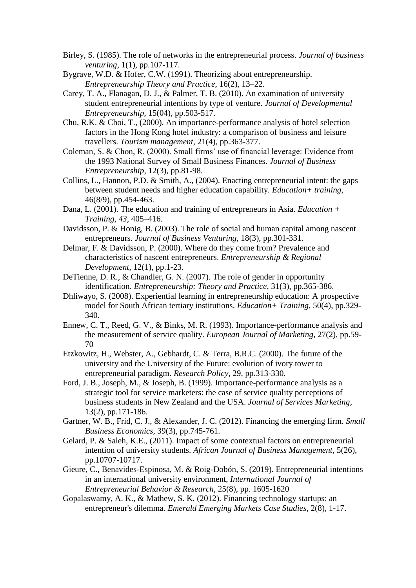- Birley, S. (1985). The role of networks in the entrepreneurial process. *Journal of business venturing*, 1(1), pp.107-117.
- Bygrave, W.D. & Hofer, C.W. (1991). Theorizing about entrepreneurship. *Entrepreneurship Theory and Practice*, 16(2), 13–22.
- Carey, T. A., Flanagan, D. J., & Palmer, T. B. (2010). An examination of university student entrepreneurial intentions by type of venture. *Journal of Developmental Entrepreneurship*, 15(04), pp.503-517.
- Chu, R.K. & Choi, T., (2000). An importance-performance analysis of hotel selection factors in the Hong Kong hotel industry: a comparison of business and leisure travellers. *Tourism management*, 21(4), pp.363-377.
- Coleman, S. & Chon, R. (2000). Small firms' use of financial leverage: Evidence from the 1993 National Survey of Small Business Finances. *Journal of Business Entrepreneurship*, 12(3), pp.81-98.
- Collins, L., Hannon, P.D. & Smith, A., (2004). Enacting entrepreneurial intent: the gaps between student needs and higher education capability. *Education+ training*, 46(8/9), pp.454-463.
- Dana, L. (2001). The education and training of entrepreneurs in Asia. *Education + Training, 43,* 405–416.
- Davidsson, P. & Honig, B. (2003). The role of social and human capital among nascent entrepreneurs. *Journal of Business Venturing*, 18(3), pp.301-331.
- Delmar, F. & Davidsson, P. (2000). Where do they come from? Prevalence and characteristics of nascent entrepreneurs. *Entrepreneurship & Regional Development*, 12(1), pp.1-23.
- DeTienne, D. R., & Chandler, G. N. (2007). The role of gender in opportunity identification. *Entrepreneurship: Theory and Practice*, 31(3), pp.365-386.
- Dhliwayo, S. (2008). Experiential learning in entrepreneurship education: A prospective model for South African tertiary institutions. *Education+ Training*, 50(4), pp.329- 340.
- Ennew, C. T., Reed, G. V., & Binks, M. R. (1993). Importance-performance analysis and the measurement of service quality. *European Journal of Marketing*, 27(2), pp.59- 70
- Etzkowitz, H., Webster, A., Gebhardt, C. & Terra, B.R.C. (2000). The future of the university and the University of the Future: evolution of ivory tower to entrepreneurial paradigm. *Research Policy*, 29, pp.313-330.
- Ford, J. B., Joseph, M., & Joseph, B. (1999). Importance-performance analysis as a strategic tool for service marketers: the case of service quality perceptions of business students in New Zealand and the USA. *Journal of Services Marketing*, 13(2), pp.171-186.
- Gartner, W. B., Frid, C. J., & Alexander, J. C. (2012). Financing the emerging firm. *Small Business Economics*, 39(3), pp.745-761.
- Gelard, P. & Saleh, K.E., (2011). Impact of some contextual factors on entrepreneurial intention of university students. *African Journal of Business Management*, 5(26), pp.10707-10717.
- Gieure, C., Benavides-Espinosa, M. & Roig-Dobón, S. (2019). Entrepreneurial intentions in an international university environment, *International Journal of Entrepreneurial Behavior & Research*, 25(8), pp. 1605-1620
- Gopalaswamy, A. K., & Mathew, S. K. (2012). Financing technology startups: an entrepreneur's dilemma. *Emerald Emerging Markets Case Studies*, 2(8), 1-17.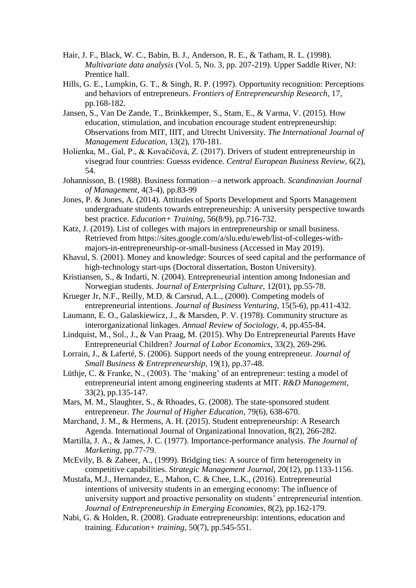- Hair, J. F., Black, W. C., Babin, B. J., Anderson, R. E., & Tatham, R. L. (1998). *Multivariate data analysis* (Vol. 5, No. 3, pp. 207-219). Upper Saddle River, NJ: Prentice hall.
- Hills, G. E., Lumpkin, G. T., & Singh, R. P. (1997). Opportunity recognition: Perceptions and behaviors of entrepreneurs. *Frontiers of Entrepreneurship Research*, 17, pp.168-182.
- Jansen, S., Van De Zande, T., Brinkkemper, S., Stam, E., & Varma, V. (2015). How education, stimulation, and incubation encourage student entrepreneurship: Observations from MIT, IIIT, and Utrecht University. *The International Journal of Management Education*, 13(2), 170-181.
- Holienka, M., Gal, P., & Kovačičová, Z. (2017). Drivers of student entrepreneurship in visegrad four countries: Guesss evidence. *Central European Business Review*, 6(2), 54.
- Johannisson, B. (1988). Business formation—a network approach. *Scandinavian Journal of Management,* 4(3-4), pp.83-99
- Jones, P. & Jones, A. (2014). Attitudes of Sports Development and Sports Management undergraduate students towards entrepreneurship: A university perspective towards best practice. *Education+ Training*, 56(8/9), pp.716-732.
- Katz, J. (2019). List of colleges with majors in entrepreneurship or small business. Retrieved from [https://sites.google.com/a/slu.edu/eweb/list-of-colleges-with](https://sites.google.com/a/slu.edu/eweb/list-of-colleges-with-majors-in-entrepreneurship-or-small-business)[majors-in-entrepreneurship-or-small-business](https://sites.google.com/a/slu.edu/eweb/list-of-colleges-with-majors-in-entrepreneurship-or-small-business) (Accessed in May 2019).
- Khavul, S. (2001). Money and knowledge: Sources of seed capital and the performance of high-technology start-ups (Doctoral dissertation, Boston University).
- Kristiansen, S., & Indarti, N. (2004). Entrepreneurial intention among Indonesian and Norwegian students. *Journal of Enterprising Culture*, 12(01), pp.55-78.
- Krueger Jr, N.F., Reilly, M.D. & Carsrud, A.L., (2000). Competing models of entrepreneurial intentions. *Journal of Business Venturing*, 15(5-6), pp.411-432.
- Laumann, E. O., Galaskiewicz, J., & Marsden, P. V. (1978). Community structure as interorganizational linkages. *Annual Review of Sociology*, 4, pp.455-84.
- Lindquist, M., Sol., J., & Van Praag, M. (2015). Why Do Entrepreneurial Parents Have Entrepreneurial Children? *Journal of Labor Economics*, 33(2), 269-296.
- Lorrain, J., & Laferté, S. (2006). Support needs of the young entrepreneur. *Journal of Small Business & Entrepreneurship*, 19(1), pp.37-48.
- Lüthje, C. & Franke, N., (2003). The 'making' of an entrepreneur: testing a model of entrepreneurial intent among engineering students at MIT. *R&D Management*, 33(2), pp.135-147.
- Mars, M. M., Slaughter, S., & Rhoades, G. (2008). The state-sponsored student entrepreneur. *The Journal of Higher Education*, 79(6), 638-670.
- Marchand, J. M., & Hermens, A. H. (2015). Student entrepreneurship: A Research Agenda. International Journal of Organizational Innovation, 8(2), 266-282.
- Martilla, J. A., & James, J. C. (1977). Importance-performance analysis. *The Journal of Marketing*, pp.77-79.
- McEvily, B. & Zaheer, A., (1999). Bridging ties: A source of firm heterogeneity in competitive capabilities. *Strategic Management Journal*, 20(12), pp.1133-1156.
- Mustafa, M.J., Hernandez, E., Mahon, C. & Chee, L.K., (2016). Entrepreneurial intentions of university students in an emerging economy: The influence of university support and proactive personality on students' entrepreneurial intention. *Journal of Entrepreneurship in Emerging Economies*, 8(2), pp.162-179.
- Nabi, G. & Holden, R. (2008). Graduate entrepreneurship: intentions, education and training. *Education+ training*, 50(7), pp.545-551.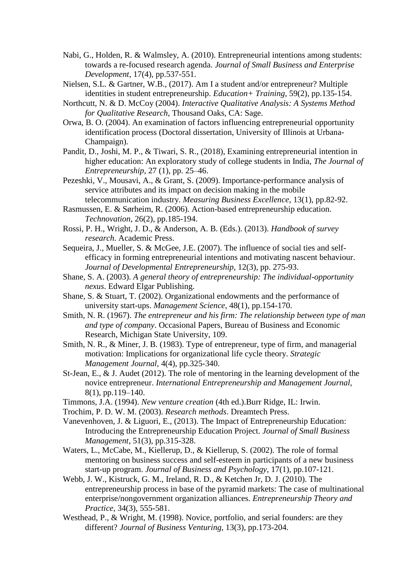- Nabi, G., Holden, R. & Walmsley, A. (2010). Entrepreneurial intentions among students: towards a re-focused research agenda. *Journal of Small Business and Enterprise Development*, 17(4), pp.537-551.
- Nielsen, S.L. & Gartner, W.B., (2017). Am I a student and/or entrepreneur? Multiple identities in student entrepreneurship. *Education+ Training*, 59(2), pp.135-154.
- Northcutt, N. & D. McCoy (2004). *Interactive Qualitative Analysis: A Systems Method for Qualitative Research*, Thousand Oaks, CA: Sage.
- Orwa, B. O. (2004). An examination of factors influencing entrepreneurial opportunity identification process (Doctoral dissertation, University of Illinois at Urbana-Champaign).
- Pandit, D., Joshi, M. P., & Tiwari, S. R., (2018), Examining entrepreneurial intention in higher education: An exploratory study of college students in India, *The Journal of Entrepreneurship*, 27 (1), pp. 25–46.
- Pezeshki, V., Mousavi, A., & Grant, S. (2009). Importance-performance analysis of service attributes and its impact on decision making in the mobile telecommunication industry. *Measuring Business Excellence*, 13(1), pp.82-92.
- Rasmussen, E. & Sørheim, R. (2006). Action-based entrepreneurship education. *Technovation*, 26(2), pp.185-194.
- Rossi, P. H., Wright, J. D., & Anderson, A. B. (Eds.). (2013). *Handbook of survey research*. Academic Press.
- Sequeira, J., Mueller, S. & McGee, J.E. (2007). The influence of social ties and selfefficacy in forming entrepreneurial intentions and motivating nascent behaviour. *Journal of Developmental Entrepreneurship*, 12(3), pp. 275-93.
- Shane, S. A. (2003). *A general theory of entrepreneurship: The individual-opportunity nexus*. Edward Elgar Publishing.
- Shane, S. & Stuart, T. (2002). Organizational endowments and the performance of university start-ups. *Management Science*, 48(1), pp.154-170.
- Smith, N. R. (1967). *The entrepreneur and his firm: The relationship between type of man and type of company*. Occasional Papers, Bureau of Business and Economic Research, Michigan State University, 109.
- Smith, N. R., & Miner, J. B. (1983). Type of entrepreneur, type of firm, and managerial motivation: Implications for organizational life cycle theory. *Strategic Management Journal,* 4(4), pp.325-340.
- St-Jean, E., & J. Audet (2012). The role of mentoring in the learning development of the novice entrepreneur. *International Entrepreneurship and Management Journal,* 8(1), pp.119–140.
- Timmons, J.A. (1994). *New venture creation* (4th ed.).Burr Ridge, IL: Irwin.
- Trochim, P. D. W. M. (2003). *Research methods*. Dreamtech Press.
- Vanevenhoven, J. & Liguori, E., (2013). The Impact of Entrepreneurship Education: Introducing the Entrepreneurship Education Project. *Journal of Small Business Management*, 51(3), pp.315-328.
- Waters, L., McCabe, M., Kiellerup, D., & Kiellerup, S. (2002). The role of formal mentoring on business success and self-esteem in participants of a new business start-up program. *Journal of Business and Psychology*, 17(1), pp.107-121.
- Webb, J. W., Kistruck, G. M., Ireland, R. D., & Ketchen Jr, D. J. (2010). The entrepreneurship process in base of the pyramid markets: The case of multinational enterprise/nongovernment organization alliances. *Entrepreneurship Theory and Practice*, 34(3), 555-581.
- Westhead, P., & Wright, M. (1998). Novice, portfolio, and serial founders: are they different? *Journal of Business Venturing*, 13(3), pp.173-204.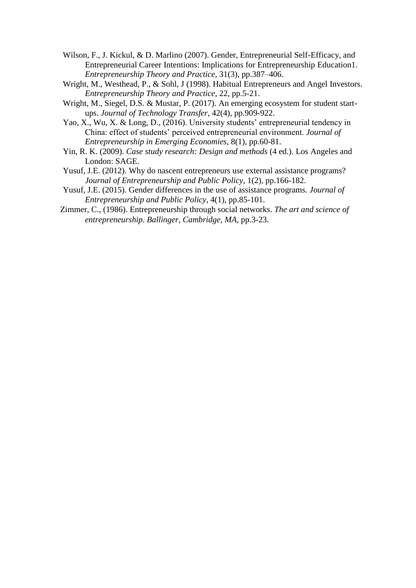- Wilson, F., J. Kickul, & D. Marlino (2007). Gender, Entrepreneurial Self-Efficacy, and Entrepreneurial Career Intentions: Implications for Entrepreneurship Education1. *Entrepreneurship Theory and Practice*, 31(3), pp.387–406.
- Wright, M., Westhead, P., & Sohl, J (1998). Habitual Entrepreneurs and Angel Investors. *Entrepreneurship Theory and Practice*, 22, pp.5-21.
- Wright, M., Siegel, D.S. & Mustar, P. (2017). An emerging ecosystem for student startups. *Journal of Technology Transfer*, 42(4), pp.909-922.
- Yao, X., Wu, X. & Long, D., (2016). University students' entrepreneurial tendency in China: effect of students' perceived entrepreneurial environment. *Journal of Entrepreneurship in Emerging Economies*, 8(1), pp.60-81.
- Yin, R. K. (2009). *Case study research: Design and methods* (4 ed.). Los Angeles and London: SAGE.
- Yusuf, J.E. (2012). Why do nascent entrepreneurs use external assistance programs? *Journal of Entrepreneurship and Public Policy*, 1(2), pp.166-182.
- Yusuf, J.E. (2015). Gender differences in the use of assistance programs. *Journal of Entrepreneurship and Public Policy*, 4(1), pp.85-101.
- Zimmer, C., (1986). Entrepreneurship through social networks. *The art and science of entrepreneurship. Ballinger, Cambridge, MA*, pp.3-23.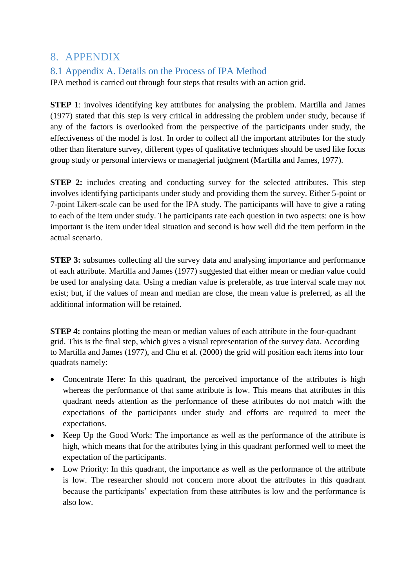# 8. APPENDIX

## 8.1 Appendix A. Details on the Process of IPA Method

IPA method is carried out through four steps that results with an action grid.

**STEP 1**: involves identifying key attributes for analysing the problem. Martilla and James (1977) stated that this step is very critical in addressing the problem under study, because if any of the factors is overlooked from the perspective of the participants under study, the effectiveness of the model is lost. In order to collect all the important attributes for the study other than literature survey, different types of qualitative techniques should be used like focus group study or personal interviews or managerial judgment (Martilla and James, 1977).

**STEP 2:** includes creating and conducting survey for the selected attributes. This step involves identifying participants under study and providing them the survey. Either 5-point or 7-point Likert-scale can be used for the IPA study. The participants will have to give a rating to each of the item under study. The participants rate each question in two aspects: one is how important is the item under ideal situation and second is how well did the item perform in the actual scenario.

**STEP 3:** subsumes collecting all the survey data and analysing importance and performance of each attribute. Martilla and James (1977) suggested that either mean or median value could be used for analysing data. Using a median value is preferable, as true interval scale may not exist; but, if the values of mean and median are close, the mean value is preferred, as all the additional information will be retained.

**STEP 4:** contains plotting the mean or median values of each attribute in the four-quadrant grid. This is the final step, which gives a visual representation of the survey data. According to Martilla and James (1977), and Chu et al. (2000) the grid will position each items into four quadrats namely:

- Concentrate Here: In this quadrant, the perceived importance of the attributes is high whereas the performance of that same attribute is low. This means that attributes in this quadrant needs attention as the performance of these attributes do not match with the expectations of the participants under study and efforts are required to meet the expectations.
- Keep Up the Good Work: The importance as well as the performance of the attribute is high, which means that for the attributes lying in this quadrant performed well to meet the expectation of the participants.
- Low Priority: In this quadrant, the importance as well as the performance of the attribute is low. The researcher should not concern more about the attributes in this quadrant because the participants' expectation from these attributes is low and the performance is also low.